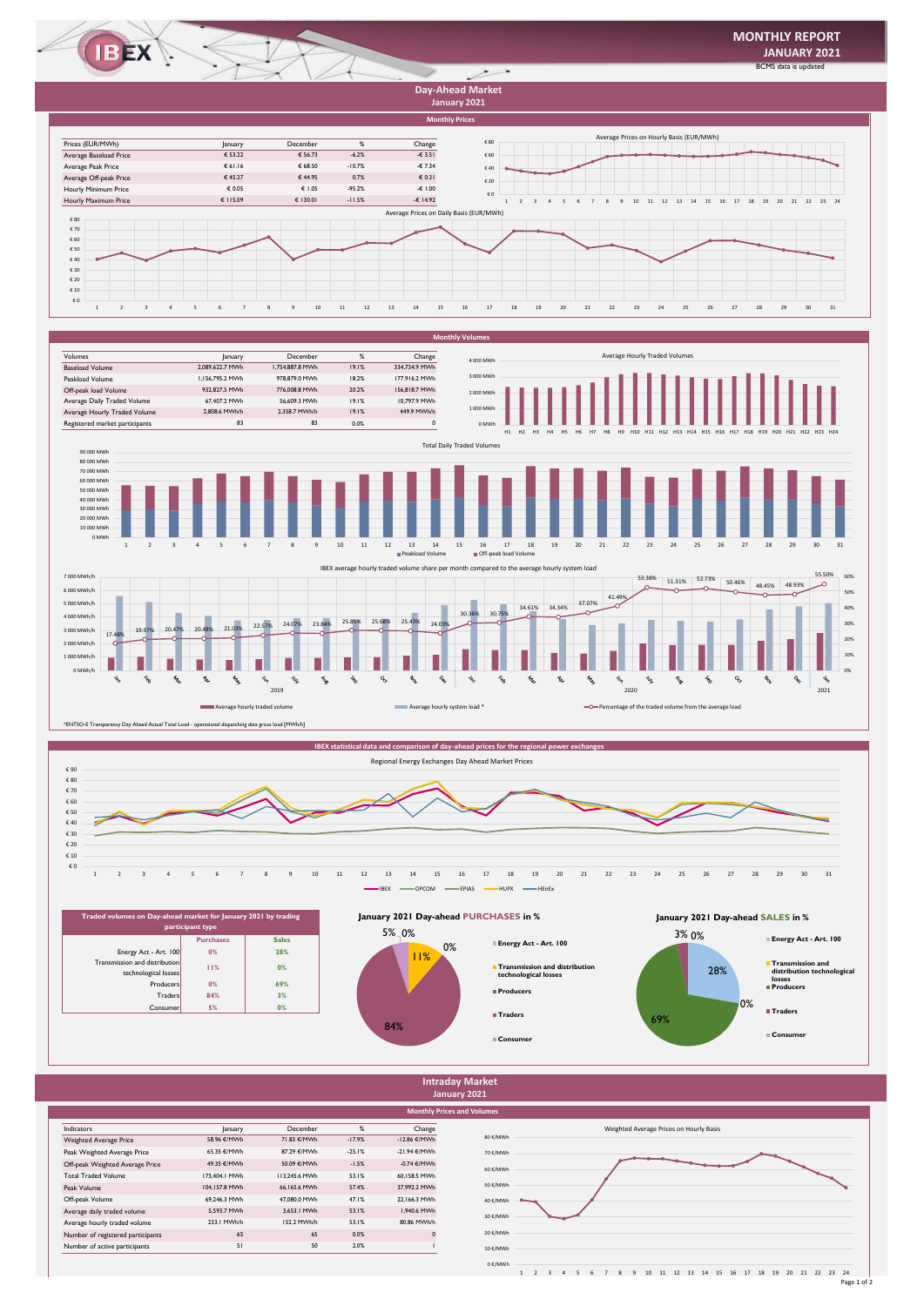

**January 2021**









**January 2021 Day-ahead SALES in %**





Page 1 of 2